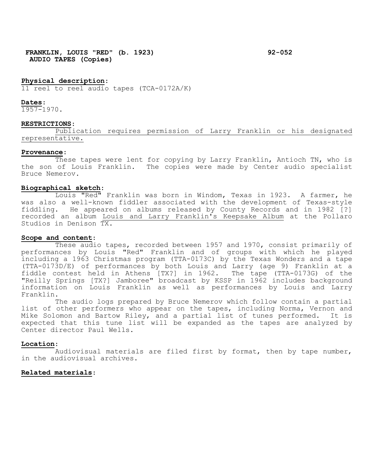**FRANKLIN, LOUIS "RED" (b. 1923) 92-052 AUDIO TAPES (Copies)**

## **Physical description**:

11 reel to reel audio tapes (TCA-0172A/K)

### **Dates**:

1957-1970.

### **RESTRICTIONS**:

Publication requires permission of Larry Franklin or his designated representative.

# **Provenance**:

These tapes were lent for copying by Larry Franklin, Antioch TN, who is the son of Louis Franklin. The copies were made by Center audio specialist Bruce Nemerov.

# **Biographical sketch**:

Louis "Red" Franklin was born in Windom, Texas in 1923. A farmer, he was also a well-known fiddler associated with the development of Texas-style fiddling. He appeared on albums released by County Records and in 1982 [?] recorded an album Louis and Larry Franklin's Keepsake Album at the Pollaro Studios in Denison TX.

#### **Scope and content**:

These audio tapes, recorded between 1957 and 1970, consist primarily of performances by Louis "Red" Franklin and of groups with which he played including a 1963 Christmas program (TTA-0173C) by the Texas Wonders and a tape (TTA-0173D/E) of performances by both Louis and Larry (age 9) Franklin at a fiddle contest held in Athens [TX?] in 1962. The tape (TTA-0173G) of the "Reilly Springs [TX?] Jamboree" broadcast by KSSP in 1962 includes background information on Louis Franklin as well as performances by Louis and Larry Franklin.

The audio logs prepared by Bruce Nemerov which follow contain a partial list of other performers who appear on the tapes, including Norma, Vernon and Mike Solomon and Bartow Riley, and a partial list of tunes performed. It is expected that this tune list will be expanded as the tapes are analyzed by Center director Paul Wells.

## **Location**:

Audiovisual materials are filed first by format, then by tape number, in the audiovisual archives.

# **Related materials**: